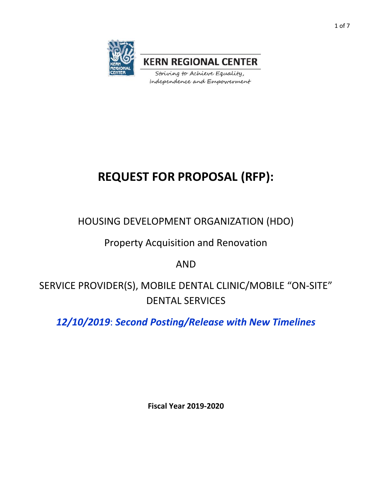

**KERN REGIONAL CENTER** 

Striving to Achieve Equality, Independence and Empowerment

# **REQUEST FOR PROPOSAL (RFP):**

HOUSING DEVELOPMENT ORGANIZATION (HDO)

Property Acquisition and Renovation

AND

SERVICE PROVIDER(S), MOBILE DENTAL CLINIC/MOBILE "ON-SITE" DENTAL SERVICES

*12/10/2019*: *Second Posting/Release with New Timelines*

**Fiscal Year 2019-2020**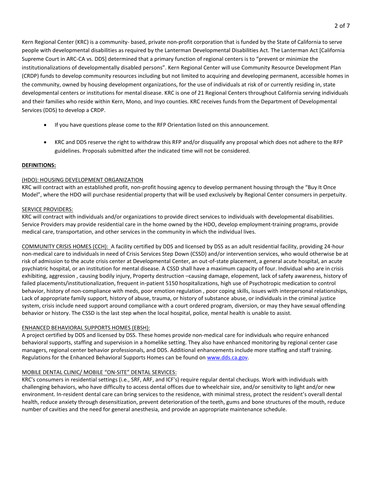Kern Regional Center (KRC) is a community- based, private non-profit corporation that is funded by the State of California to serve people with developmental disabilities as required by the Lanterman Developmental Disabilities Act. The Lanterman Act [California Supreme Court in ARC-CA vs. DDS] determined that a primary function of regional centers is to "prevent or minimize the institutionalizations of developmentally disabled persons". Kern Regional Center will use Community Resource Development Plan (CRDP) funds to develop community resources including but not limited to acquiring and developing permanent, accessible homes in the community, owned by housing development organizations, for the use of individuals at risk of or currently residing in, state developmental centers or institutions for mental disease. KRC is one of 21 Regional Centers throughout California serving individuals and their families who reside within Kern, Mono, and Inyo counties. KRC receives funds from the Department of Developmental Services (DDS) to develop a CRDP.

- If you have questions please come to the RFP Orientation listed on this announcement.
- KRC and DDS reserve the right to withdraw this RFP and/or disqualify any proposal which does not adhere to the RFP guidelines. Proposals submitted after the indicated time will not be considered.

#### **DEFINITIONS:**

#### (HDO): HOUSING DEVELOPMENT ORGANIZATION

KRC will contract with an established profit, non-profit housing agency to develop permanent housing through the "Buy It Once Model", where the HDO will purchase residential property that will be used exclusively by Regional Center consumers in perpetuity.

#### SERVICE PROVIDERS:

KRC will contract with individuals and/or organizations to provide direct services to individuals with developmental disabilities. Service Providers may provide residential care in the home owned by the HDO, develop employment-training programs, provide medical care, transportation, and other services in the community in which the individual lives.

COMMUNITY CRISIS HOMES (CCH): A facility certified by DDS and licensed by DSS as an adult residential facility, providing 24-hour non-medical care to individuals in need of Crisis Services Step Down (CSSD) and/or intervention services, who would otherwise be at risk of admission to the acute crisis center at Developmental Center, an out-of-state placement, a general acute hospital, an acute psychiatric hospital, or an institution for mental disease. A CSSD shall have a maximum capacity of four. Individual who are in crisis exhibiting, aggression , causing bodily injury, Property destruction –causing damage, elopement, lack of safety awareness, history of failed placements/institutionalization, frequent in-patient 5150 hospitalizations, high use of Psychotropic medication to control behavior, history of non-compliance with meds, poor emotion regulation , poor coping skills, issues with interpersonal relationships, Lack of appropriate family support, history of abuse, trauma, or history of substance abuse, or individuals in the criminal justice system, crisis include need support around compliance with a court ordered program, diversion, or may they have sexual offending behavior or history. The CSSD is the last step when the local hospital, police, mental health is unable to assist.

#### ENHANCED BEHAVIORAL SUPPORTS HOMES (EBSH):

A project certified by DDS and licensed by DSS. These homes provide non-medical care for individuals who require enhanced behavioral supports, staffing and supervision in a homelike setting. They also have enhanced monitoring by regional center case managers, regional center behavior professionals, and DDS. Additional enhancements include more staffing and staff training. Regulations for the Enhanced Behavioral Supports Homes can be found o[n www.dds.ca.gov.](http://www.dds.ca.gov/)

## MOBILE DENTAL CLINIC/ MOBILE "ON-SITE" DENTAL SERVICES:

KRC's consumers in residential settings (i.e., SRF, ARF, and ICF's) require regular dental checkups. Work with individuals with challenging behaviors, who have difficulty to access dental offices due to wheelchair size, and/or sensitivity to light and/or new environment. In-resident dental care can bring services to the residence, with minimal stress, protect the resident's overall dental health, reduce anxiety through desensitization, prevent deterioration of the teeth, gums and bone structures of the mouth, reduce number of cavities and the need for general anesthesia, and provide an appropriate maintenance schedule.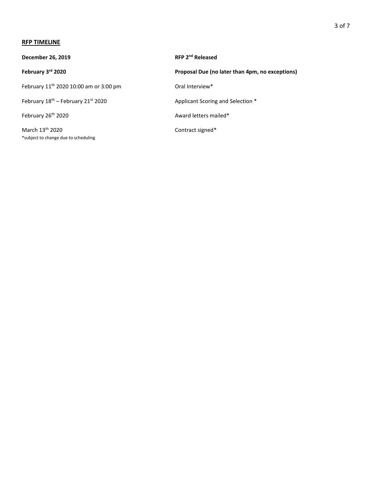#### **RFP TIMELINE**

| December 26, 2019                                                   | RFP 2 <sup>nd</sup> Released                    |
|---------------------------------------------------------------------|-------------------------------------------------|
| February 3rd 2020                                                   | Proposal Due (no later than 4pm, no exceptions) |
| February 11 <sup>th</sup> 2020 10:00 am or 3:00 pm                  | Oral Interview*                                 |
| February 18 <sup>th</sup> - February 21 <sup>st</sup> 2020          | Applicant Scoring and Selection *               |
| February 26th 2020                                                  | Award letters mailed*                           |
| March 13 <sup>th</sup> 2020<br>*subject to change due to scheduling | Contract signed*                                |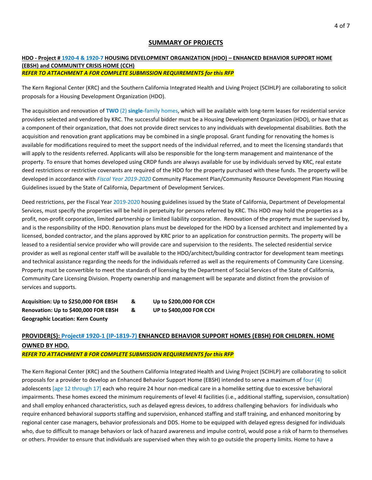## **SUMMARY OF PROJECTS**

#### **HDO - Project # 1920-4 & 1920-7 HOUSING DEVELOPMENT ORGANIZATION (HDO) – ENHANCED BEHAVIOR SUPPORT HOME (EBSH) and COMMUNITY CRISIS HOME (CCH)** *REFER TO ATTACHMENT A FOR COMPLETE SUBMISSION REQUIREMENTS for this RFP*

The Kern Regional Center (KRC) and the Southern California Integrated Health and Living Project (SCIHLP) are collaborating to solicit proposals for a Housing Development Organization (HDO).

The acquisition and renovation of **TWO** (2) **single**-family homes, which will be available with long-term leases for residential service providers selected and vendored by KRC. The successful bidder must be a Housing Development Organization (HDO), or have that as a component of their organization, that does not provide direct services to any individuals with developmental disabilities. Both the acquisition and renovation grant applications may be combined in a single proposal. Grant funding for renovating the homes is available for modifications required to meet the support needs of the individual referred, and to meet the licensing standards that will apply to the residents referred. Applicants will also be responsible for the long-term management and maintenance of the property. To ensure that homes developed using CRDP funds are always available for use by individuals served by KRC, real estate deed restrictions or restrictive covenants are required of the HDO for the property purchased with these funds. The property will be developed in accordance with *Fiscal Year 2019-2020* Community Placement Plan/Community Resource Development Plan Housing Guidelines issued by the State of California, Department of Development Services.

Deed restrictions, per the Fiscal Year 2019-2020 housing guidelines issued by the State of California, Department of Developmental Services, must specify the properties will be held in perpetuity for persons referred by KRC. This HDO may hold the properties as a profit, non-profit corporation, limited partnership or limited liability corporation. Renovation of the property must be supervised by, and is the responsibility of the HDO. Renovation plans must be developed for the HDO by a licensed architect and implemented by a licensed, bonded contractor, and the plans approved by KRC prior to an application for construction permits. The property will be leased to a residential service provider who will provide care and supervision to the residents. The selected residential service provider as well as regional center staff will be available to the HDO/architect/building contractor for development team meetings and technical assistance regarding the needs for the individuals referred as well as the requirements of Community Care Licensing. Property must be convertible to meet the standards of licensing by the Department of Social Services of the State of California, Community Care Licensing Division. Property ownership and management will be separate and distinct from the provision of services and supports.

**Acquisition: Up to \$250,000 FOR EBSH & Up to \$200,000 FOR CCH Renovation: Up to \$400,000 FOR EBSH & UP to \$400,000 FOR CCH Geographic Location: Kern County**

# **PROVIDER(S): Project# 1920-1 (IP-1819-7) ENHANCED BEHAVIOR SUPPORT HOMES (EBSH) FOR CHILDREN. HOME OWNED BY HDO.**

*REFER TO ATTACHMENT B FOR COMPLETE SUBMISSION REQUIREMENTS for this RFP*

The Kern Regional Center (KRC) and the Southern California Integrated Health and Living Project (SCIHLP) are collaborating to solicit proposals for a provider to develop an Enhanced Behavior Support Home (EBSH) intended to serve a maximum of four (4) adolescents [age 12 through 17] each who require 24 hour non-medical care in a homelike setting due to excessive behavioral impairments. These homes exceed the minimum requirements of level 4I facilities (i.e., additional staffing, supervision, consultation) and shall employ enhanced characteristics, such as delayed egress devices, to address challenging behaviors for individuals who require enhanced behavioral supports staffing and supervision, enhanced staffing and staff training, and enhanced monitoring by regional center case managers, behavior professionals and DDS. Home to be equipped with delayed egress designed for individuals who, due to difficult to manage behaviors or lack of hazard awareness and impulse control, would pose a risk of harm to themselves or others. Provider to ensure that individuals are supervised when they wish to go outside the property limits. Home to have a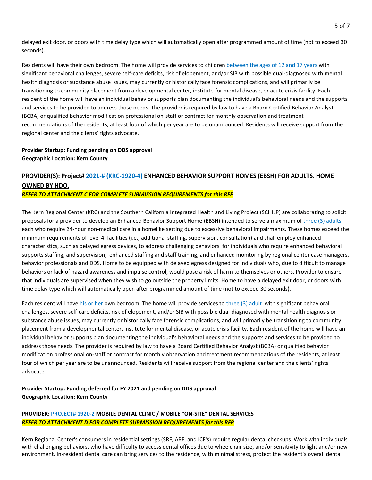delayed exit door, or doors with time delay type which will automatically open after programmed amount of time (not to exceed 30 seconds).

Residents will have their own bedroom. The home will provide services to children between the ages of 12 and 17 years with significant behavioral challenges, severe self-care deficits, risk of elopement, and/or SIB with possible dual-diagnosed with mental health diagnosis or substance abuse issues, may currently or historically face forensic complications, and will primarily be transitioning to community placement from a developmental center, institute for mental disease, or acute crisis facility. Each resident of the home will have an individual behavior supports plan documenting the individual's behavioral needs and the supports and services to be provided to address those needs. The provider is required by law to have a Board Certified Behavior Analyst (BCBA) or qualified behavior modification professional on-staff or contract for monthly observation and treatment recommendations of the residents, at least four of which per year are to be unannounced. Residents will receive support from the regional center and the clients' rights advocate.

#### **Provider Startup: Funding pending on DDS approval Geographic Location: Kern County**

# **PROVIDER(S): Project# 2021-# (KRC-1920-4) ENHANCED BEHAVIOR SUPPORT HOMES (EBSH) FOR ADULTS. HOME OWNED BY HDO.**

#### *REFER TO ATTACHMENT C FOR COMPLETE SUBMISSION REQUIREMENTS for this RFP*

The Kern Regional Center (KRC) and the Southern California Integrated Health and Living Project (SCIHLP) are collaborating to solicit proposals for a provider to develop an Enhanced Behavior Support Home (EBSH) intended to serve a maximum of three (3) adults each who require 24-hour non-medical care in a homelike setting due to excessive behavioral impairments. These homes exceed the minimum requirements of level 4I facilities (i.e., additional staffing, supervision, consultation) and shall employ enhanced characteristics, such as delayed egress devices, to address challenging behaviors for individuals who require enhanced behavioral supports staffing, and supervision, enhanced staffing and staff training, and enhanced monitoring by regional center case managers, behavior professionals and DDS. Home to be equipped with delayed egress designed for individuals who, due to difficult to manage behaviors or lack of hazard awareness and impulse control, would pose a risk of harm to themselves or others. Provider to ensure that individuals are supervised when they wish to go outside the property limits. Home to have a delayed exit door, or doors with time delay type which will automatically open after programmed amount of time (not to exceed 30 seconds).

Each resident will have his or her own bedroom. The home will provide services to three (3) adult with significant behavioral challenges, severe self-care deficits, risk of elopement, and/or SIB with possible dual-diagnosed with mental health diagnosis or substance abuse issues, may currently or historically face forensic complications, and will primarily be transitioning to community placement from a developmental center, institute for mental disease, or acute crisis facility. Each resident of the home will have an individual behavior supports plan documenting the individual's behavioral needs and the supports and services to be provided to address those needs. The provider is required by law to have a Board Certified Behavior Analyst (BCBA) or qualified behavior modification professional on-staff or contract for monthly observation and treatment recommendations of the residents, at least four of which per year are to be unannounced. Residents will receive support from the regional center and the clients' rights advocate.

# **Provider Startup: Funding deferred for FY 2021 and pending on DDS approval Geographic Location: Kern County**

# **PROVIDER: PROJECT# 1920-2 MOBILE DENTAL CLINIC / MOBILE "ON-SITE" DENTAL SERVICES** *REFER TO ATTACHMENT D FOR COMPLETE SUBMISSION REQUIREMENTS for this RFP*

Kern Regional Center's consumers in residential settings (SRF, ARF, and ICF's) require regular dental checkups. Work with individuals with challenging behaviors, who have difficulty to access dental offices due to wheelchair size, and/or sensitivity to light and/or new environment. In-resident dental care can bring services to the residence, with minimal stress, protect the resident's overall dental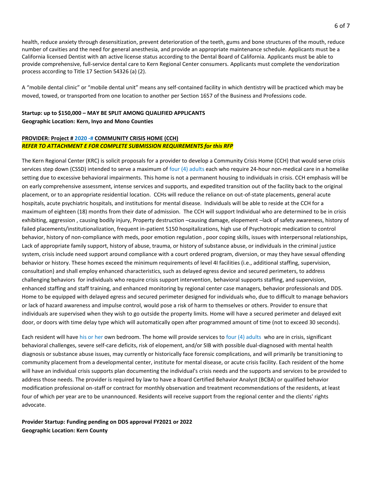health, reduce anxiety through desensitization, prevent deterioration of the teeth, gums and bone structures of the mouth, reduce number of cavities and the need for general anesthesia, and provide an appropriate maintenance schedule. Applicants must be a California licensed Dentist with an active license status according to the Dental Board of California. Applicants must be able to provide comprehensive, full-service dental care to Kern Regional Center consumers. Applicants must complete the vendorization process according to Title 17 Section 54326 (a) (2).

A "mobile dental clinic" or "mobile dental unit" means any self-contained facility in which dentistry will be practiced which may be moved, towed, or transported from one location to another per Section 1657 of the Business and Professions code.

# **Startup: up to \$150,000 – MAY BE SPLIT AMONG QUALIFIED APPLICANTS**

#### **Geographic Location: Kern, Inyo and Mono Counties**

#### **PROVIDER: Project # 2020 -# COMMUNITY CRISIS HOME (CCH)** *REFER TO ATTACHMENT E FOR COMPLETE SUBMISSION REQUIREMENTS for this RFP*

The Kern Regional Center (KRC) is solicit proposals for a provider to develop a Community Crisis Home (CCH) that would serve crisis services step down (CSSD) intended to serve a maximum of four (4) adults each who require 24-hour non-medical care in a homelike setting due to excessive behavioral impairments. This home is not a permanent housing to individuals in crisis. CCH emphasis will be on early comprehensive assessment, intense services and supports, and expedited transition out of the facility back to the original placement, or to an appropriate residential location. CCHs will reduce the reliance on out-of-state placements, general acute hospitals, acute psychiatric hospitals, and institutions for mental disease. Individuals will be able to reside at the CCH for a maximum of eighteen (18) months from their date of admission. The CCH will support Individual who are determined to be in crisis exhibiting, aggression , causing bodily injury, Property destruction –causing damage, elopement –lack of safety awareness, history of failed placements/institutionalization, frequent in-patient 5150 hospitalizations, high use of Psychotropic medication to control behavior, history of non-compliance with meds, poor emotion regulation , poor coping skills, issues with interpersonal relationships, Lack of appropriate family support, history of abuse, trauma, or history of substance abuse, or individuals in the criminal justice system, crisis include need support around compliance with a court ordered program, diversion, or may they have sexual offending behavior or history. These homes exceed the minimum requirements of level 4I facilities (i.e., additional staffing, supervision, consultation) and shall employ enhanced characteristics, such as delayed egress device and secured perimeters, to address challenging behaviors for individuals who require crisis support intervention, behavioral supports staffing, and supervision, enhanced staffing and staff training, and enhanced monitoring by regional center case managers, behavior professionals and DDS. Home to be equipped with delayed egress and secured perimeter designed for individuals who, due to difficult to manage behaviors or lack of hazard awareness and impulse control, would pose a risk of harm to themselves or others. Provider to ensure that individuals are supervised when they wish to go outside the property limits. Home will have a secured perimeter and delayed exit door, or doors with time delay type which will automatically open after programmed amount of time (not to exceed 30 seconds).

Each resident will have his or her own bedroom. The home will provide services to four (4) adults who are in crisis, significant behavioral challenges, severe self-care deficits, risk of elopement, and/or SIB with possible dual-diagnosed with mental health diagnosis or substance abuse issues, may currently or historically face forensic complications, and will primarily be transitioning to community placement from a developmental center, institute for mental disease, or acute crisis facility. Each resident of the home will have an individual crisis supports plan documenting the individual's crisis needs and the supports and services to be provided to address those needs. The provider is required by law to have a Board Certified Behavior Analyst (BCBA) or qualified behavior modification professional on-staff or contract for monthly observation and treatment recommendations of the residents, at least four of which per year are to be unannounced. Residents will receive support from the regional center and the clients' rights advocate.

**Provider Startup: Funding pending on DDS approval FY2021 or 2022 Geographic Location: Kern County**